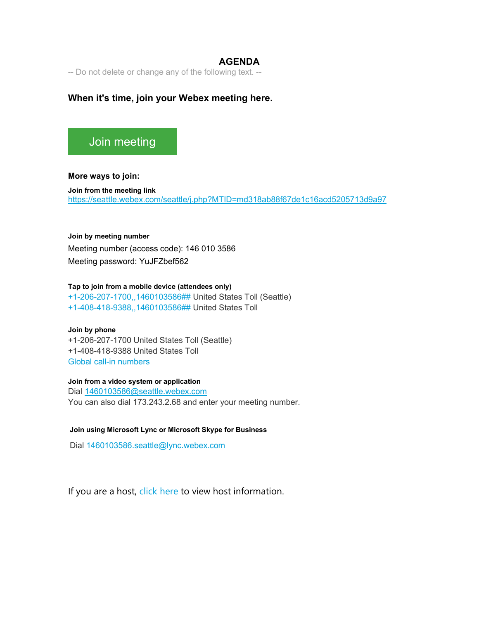### **AGENDA**

-- Do not delete or change any of the following text. --

## **When it's time, join your Webex meeting here.**

# [Join meeting](https://seattle.webex.com/seattle/j.php?MTID=md318ab88f67de1c16acd5205713d9a97)

**More ways to join:** 

**Join from the meeting link**  <https://seattle.webex.com/seattle/j.php?MTID=md318ab88f67de1c16acd5205713d9a97>

#### **Join by meeting number**

Meeting number (access code): 146 010 3586

Meeting password: YuJFZbef562

### **Tap to join from a mobile device (attendees only)**

[+1-206-207-1700,,1460103586##](tel:%2B1-206-207-1700,,*01*1460103586%23%23*01*) United States Toll (Seattle) [+1-408-418-9388,,1460103586##](tel:%2B1-408-418-9388,,*01*1460103586%23%23*01*) United States Toll

#### **Join by phone**

+1-206-207-1700 United States Toll (Seattle) +1-408-418-9388 United States Toll [Global call-in numbers](https://seattle.webex.com/seattle/globalcallin.php?MTID=m0ed59448d64b7dca552ad5720ba15080)

### **Join from a video system or application**

Dial [1460103586@seattle.webex.com](sip:1460103586@seattle.webex.com) You can also dial 173.243.2.68 and enter your meeting number.

### **Join using Microsoft Lync or Microsoft Skype for Business**

Dial [1460103586.seattle@lync.webex.com](sip:1460103586.seattle@lync.webex.com)

If you are a host, [click here](https://seattle.webex.com/seattle/j.php?MTID=m6a684a065af730518c6f0007acd3bc9b) to view host information.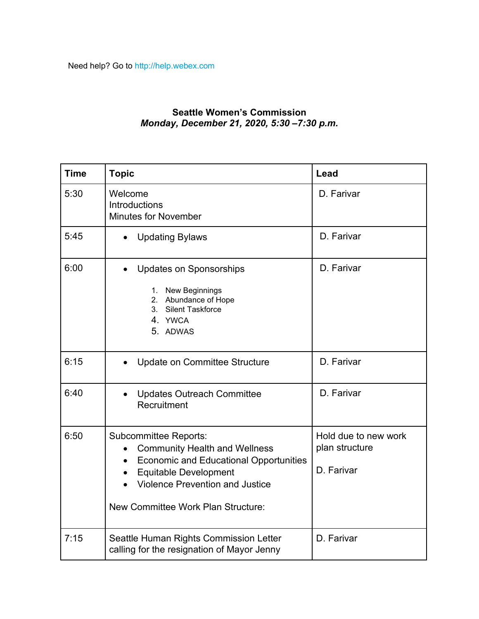# **Seattle Women's Commission** *Monday, December 21, 2020, 5:30 –7:30 p.m.*

| <b>Time</b> | <b>Topic</b>                                                                                                                                                                                                                                                    | Lead                                                 |
|-------------|-----------------------------------------------------------------------------------------------------------------------------------------------------------------------------------------------------------------------------------------------------------------|------------------------------------------------------|
| 5:30        | Welcome<br>Introductions<br><b>Minutes for November</b>                                                                                                                                                                                                         | D. Farivar                                           |
| 5:45        | <b>Updating Bylaws</b><br>$\bullet$                                                                                                                                                                                                                             | D. Farivar                                           |
| 6:00        | <b>Updates on Sponsorships</b><br>1. New Beginnings<br>2. Abundance of Hope<br>3. Silent Taskforce<br>4. YWCA<br>5. ADWAS                                                                                                                                       | D. Farivar                                           |
| 6:15        | Update on Committee Structure                                                                                                                                                                                                                                   | D. Farivar                                           |
| 6:40        | <b>Updates Outreach Committee</b><br>Recruitment                                                                                                                                                                                                                | D. Farivar                                           |
| 6:50        | <b>Subcommittee Reports:</b><br><b>Community Health and Wellness</b><br>$\bullet$<br><b>Economic and Educational Opportunities</b><br>$\bullet$<br><b>Equitable Development</b><br><b>Violence Prevention and Justice</b><br>New Committee Work Plan Structure: | Hold due to new work<br>plan structure<br>D. Farivar |
| 7:15        | Seattle Human Rights Commission Letter<br>calling for the resignation of Mayor Jenny                                                                                                                                                                            | D. Farivar                                           |